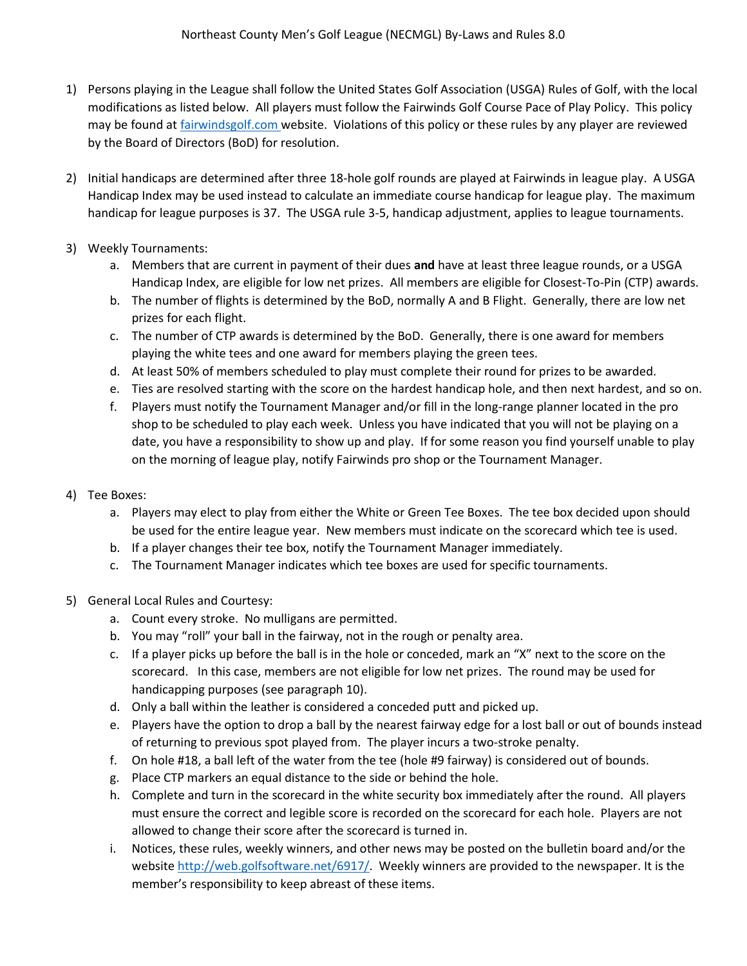- 1) Persons playing in the League shall follow the United States Golf Association (USGA) Rules of Golf, with the local modifications as listed below. All players must follow the Fairwinds Golf Course Pace of Play Policy. This policy may be found at fairwindsgolf.com website. Violations of this policy or these rules by any player are reviewed by the Board of Directors (BoD) for resolution.
- 2) Initial handicaps are determined after three 18-hole golf rounds are played at Fairwinds in league play. A USGA Handicap Index may be used instead to calculate an immediate course handicap for league play. The maximum handicap for league purposes is 37. The USGA rule 3-5, handicap adjustment, applies to league tournaments.
- 3) Weekly Tournaments:
	- a. Members that are current in payment of their dues **and** have at least three league rounds, or a USGA Handicap Index, are eligible for low net prizes. All members are eligible for Closest-To-Pin (CTP) awards.
	- b. The number of flights is determined by the BoD, normally A and B Flight. Generally, there are low net prizes for each flight.
	- c. The number of CTP awards is determined by the BoD. Generally, there is one award for members playing the white tees and one award for members playing the green tees.
	- d. At least 50% of members scheduled to play must complete their round for prizes to be awarded.
	- e. Ties are resolved starting with the score on the hardest handicap hole, and then next hardest, and so on.
	- f. Players must notify the Tournament Manager and/or fill in the long-range planner located in the pro shop to be scheduled to play each week. Unless you have indicated that you will not be playing on a date, you have a responsibility to show up and play. If for some reason you find yourself unable to play on the morning of league play, notify Fairwinds pro shop or the Tournament Manager.
- 4) Tee Boxes:
	- a. Players may elect to play from either the White or Green Tee Boxes. The tee box decided upon should be used for the entire league year. New members must indicate on the scorecard which tee is used.
	- b. If a player changes their tee box, notify the Tournament Manager immediately.
	- c. The Tournament Manager indicates which tee boxes are used for specific tournaments.
- 5) General Local Rules and Courtesy:
	- a. Count every stroke. No mulligans are permitted.
	- b. You may "roll" your ball in the fairway, not in the rough or penalty area.
	- c. If a player picks up before the ball is in the hole or conceded, mark an "X" next to the score on the scorecard. In this case, members are not eligible for low net prizes. The round may be used for handicapping purposes (see paragraph 10).
	- d. Only a ball within the leather is considered a conceded putt and picked up.
	- e. Players have the option to drop a ball by the nearest fairway edge for a lost ball or out of bounds instead of returning to previous spot played from. The player incurs a two-stroke penalty.
	- f. On hole #18, a ball left of the water from the tee (hole #9 fairway) is considered out of bounds.
	- g. Place CTP markers an equal distance to the side or behind the hole.
	- h. Complete and turn in the scorecard in the white security box immediately after the round. All players must ensure the correct and legible score is recorded on the scorecard for each hole. Players are not allowed to change their score after the scorecard is turned in.
	- i. Notices, these rules, weekly winners, and other news may be posted on the bulletin board and/or the website [http://web.golfsoftware.net/6917/.](http://web.golfsoftware.net/6917/) Weekly winners are provided to the newspaper. It is the member's responsibility to keep abreast of these items.